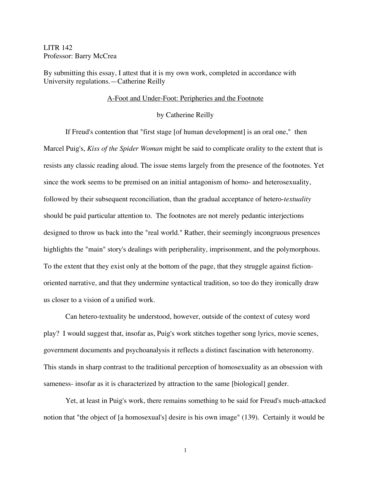LITR 142 Professor: Barry McCrea

By submitting this essay, I attest that it is my own work, completed in accordance with University regulations.—Catherine Reilly

## A-Foot and Under-Foot: Peripheries and the Footnote

## by Catherine Reilly

If Freud's contention that "first stage [of human development] is an oral one," then Marcel Puig's, *Kiss of the Spider Woman* might be said to complicate orality to the extent that is resists any classic reading aloud. The issue stems largely from the presence of the footnotes. Yet since the work seems to be premised on an initial antagonism of homo- and heterosexuality, followed by their subsequent reconciliation, than the gradual acceptance of hetero-*textuality* should be paid particular attention to. The footnotes are not merely pedantic interjections designed to throw us back into the "real world." Rather, their seemingly incongruous presences highlights the "main" story's dealings with peripherality, imprisonment, and the polymorphous. To the extent that they exist only at the bottom of the page, that they struggle against fictionoriented narrative, and that they undermine syntactical tradition, so too do they ironically draw us closer to a vision of a unified work.

Can hetero-textuality be understood, however, outside of the context of cutesy word play? I would suggest that, insofar as, Puig's work stitches together song lyrics, movie scenes, government documents and psychoanalysis it reflects a distinct fascination with heteronomy. This stands in sharp contrast to the traditional perception of homosexuality as an obsession with sameness- insofar as it is characterized by attraction to the same [biological] gender.

Yet, at least in Puig's work, there remains something to be said for Freud's much-attacked notion that "the object of [a homosexual's] desire is his own image" (139). Certainly it would be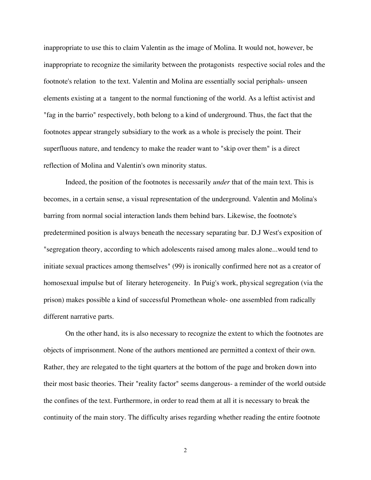inappropriate to use this to claim Valentin as the image of Molina. It would not, however, be inappropriate to recognize the similarity between the protagonists respective social roles and the footnote's relation to the text. Valentin and Molina are essentially social periphals- unseen elements existing at a tangent to the normal functioning of the world. As a leftist activist and "fag in the barrio" respectively, both belong to a kind of underground. Thus, the fact that the footnotes appear strangely subsidiary to the work as a whole is precisely the point. Their superfluous nature, and tendency to make the reader want to "skip over them" is a direct reflection of Molina and Valentin's own minority status.

Indeed, the position of the footnotes is necessarily *under* that of the main text. This is becomes, in a certain sense, a visual representation of the underground. Valentin and Molina's barring from normal social interaction lands them behind bars. Likewise, the footnote's predetermined position is always beneath the necessary separating bar. D.J West's exposition of "segregation theory, according to which adolescents raised among males alone...would tend to initiate sexual practices among themselves" (99) is ironically confirmed here not as a creator of homosexual impulse but of literary heterogeneity. In Puig's work, physical segregation (via the prison) makes possible a kind of successful Promethean whole- one assembled from radically different narrative parts.

On the other hand, its is also necessary to recognize the extent to which the footnotes are objects of imprisonment. None of the authors mentioned are permitted a context of their own. Rather, they are relegated to the tight quarters at the bottom of the page and broken down into their most basic theories. Their "reality factor" seems dangerous- a reminder of the world outside the confines of the text. Furthermore, in order to read them at all it is necessary to break the continuity of the main story. The difficulty arises regarding whether reading the entire footnote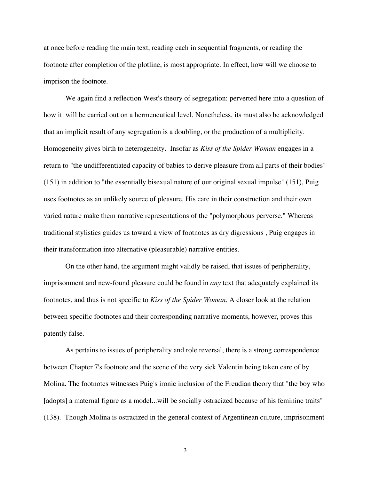at once before reading the main text, reading each in sequential fragments, or reading the footnote after completion of the plotline, is most appropriate. In effect, how will we choose to imprison the footnote.

We again find a reflection West's theory of segregation: perverted here into a question of how it will be carried out on a hermeneutical level. Nonetheless, its must also be acknowledged that an implicit result of any segregation is a doubling, or the production of a multiplicity. Homogeneity gives birth to heterogeneity. Insofar as *Kiss of the Spider Woman* engages in a return to "the undifferentiated capacity of babies to derive pleasure from all parts of their bodies" (151) in addition to "the essentially bisexual nature of our original sexual impulse" (151), Puig uses footnotes as an unlikely source of pleasure. His care in their construction and their own varied nature make them narrative representations of the "polymorphous perverse." Whereas traditional stylistics guides us toward a view of footnotes as dry digressions , Puig engages in their transformation into alternative (pleasurable) narrative entities.

On the other hand, the argument might validly be raised, that issues of peripherality, imprisonment and new-found pleasure could be found in *any* text that adequately explained its footnotes, and thus is not specific to *Kiss of the Spider Woman*. A closer look at the relation between specific footnotes and their corresponding narrative moments, however, proves this patently false.

As pertains to issues of peripherality and role reversal, there is a strong correspondence between Chapter 7's footnote and the scene of the very sick Valentin being taken care of by Molina. The footnotes witnesses Puig's ironic inclusion of the Freudian theory that "the boy who [adopts] a maternal figure as a model...will be socially ostracized because of his feminine traits" (138). Though Molina is ostracized in the general context of Argentinean culture, imprisonment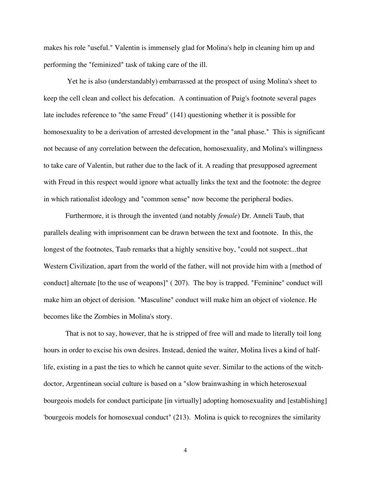makes his role "useful." Valentin is immensely glad for Molina's help in cleaning him up and performing the "feminized" task of taking care of the ill.

 Yet he is also (understandably) embarrassed at the prospect of using Molina's sheet to keep the cell clean and collect his defecation. A continuation of Puig's footnote several pages late includes reference to "the same Freud" (141) questioning whether it is possible for homosexuality to be a derivation of arrested development in the "anal phase." This is significant not because of any correlation between the defecation, homosexuality, and Molina's willingness to take care of Valentin, but rather due to the lack of it. A reading that presupposed agreement with Freud in this respect would ignore what actually links the text and the footnote: the degree in which rationalist ideology and "common sense" now become the peripheral bodies.

Furthermore, it is through the invented (and notably *female*) Dr. Anneli Taub, that parallels dealing with imprisonment can be drawn between the text and footnote. In this, the longest of the footnotes, Taub remarks that a highly sensitive boy, "could not suspect...that Western Civilization, apart from the world of the father, will not provide him with a [method of conduct] alternate [to the use of weapons]" ( 207). The boy is trapped. "Feminine" conduct will make him an object of derision. "Masculine" conduct will make him an object of violence. He becomes like the Zombies in Molina's story.

That is not to say, however, that he is stripped of free will and made to literally toil long hours in order to excise his own desires. Instead, denied the waiter, Molina lives a kind of halflife, existing in a past the ties to which he cannot quite sever. Similar to the actions of the witchdoctor, Argentinean social culture is based on a "slow brainwashing in which heterosexual bourgeois models for conduct participate [in virtually] adopting homosexuality and [establishing] 'bourgeois models for homosexual conduct" (213). Molina is quick to recognizes the similarity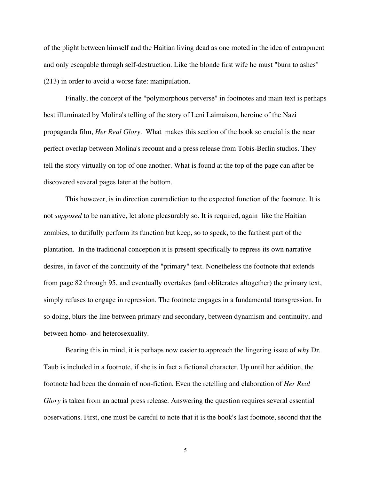of the plight between himself and the Haitian living dead as one rooted in the idea of entrapment and only escapable through self-destruction. Like the blonde first wife he must "burn to ashes" (213) in order to avoid a worse fate: manipulation.

Finally, the concept of the "polymorphous perverse" in footnotes and main text is perhaps best illuminated by Molina's telling of the story of Leni Laimaison, heroine of the Nazi propaganda film, *Her Real Glory.* What makes this section of the book so crucial is the near perfect overlap between Molina's recount and a press release from Tobis-Berlin studios. They tell the story virtually on top of one another. What is found at the top of the page can after be discovered several pages later at the bottom.

This however, is in direction contradiction to the expected function of the footnote. It is not *supposed* to be narrative, let alone pleasurably so. It is required, again like the Haitian zombies, to dutifully perform its function but keep, so to speak, to the farthest part of the plantation. In the traditional conception it is present specifically to repress its own narrative desires, in favor of the continuity of the "primary" text. Nonetheless the footnote that extends from page 82 through 95, and eventually overtakes (and obliterates altogether) the primary text, simply refuses to engage in repression. The footnote engages in a fundamental transgression. In so doing, blurs the line between primary and secondary, between dynamism and continuity, and between homo- and heterosexuality.

Bearing this in mind, it is perhaps now easier to approach the lingering issue of *why* Dr. Taub is included in a footnote, if she is in fact a fictional character. Up until her addition, the footnote had been the domain of non-fiction. Even the retelling and elaboration of *Her Real Glory* is taken from an actual press release. Answering the question requires several essential observations. First, one must be careful to note that it is the book's last footnote, second that the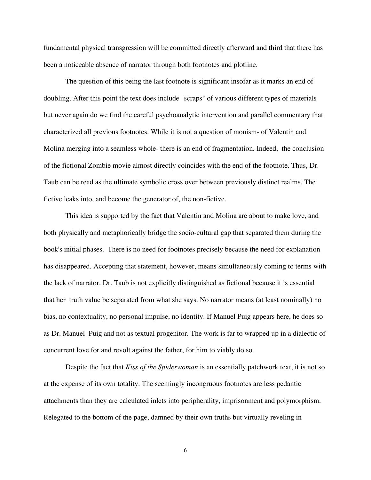fundamental physical transgression will be committed directly afterward and third that there has been a noticeable absence of narrator through both footnotes and plotline.

The question of this being the last footnote is significant insofar as it marks an end of doubling. After this point the text does include "scraps" of various different types of materials but never again do we find the careful psychoanalytic intervention and parallel commentary that characterized all previous footnotes. While it is not a question of monism- of Valentin and Molina merging into a seamless whole- there is an end of fragmentation. Indeed, the conclusion of the fictional Zombie movie almost directly coincides with the end of the footnote. Thus, Dr. Taub can be read as the ultimate symbolic cross over between previously distinct realms. The fictive leaks into, and become the generator of, the non-fictive.

This idea is supported by the fact that Valentin and Molina are about to make love, and both physically and metaphorically bridge the socio-cultural gap that separated them during the book's initial phases. There is no need for footnotes precisely because the need for explanation has disappeared. Accepting that statement, however, means simultaneously coming to terms with the lack of narrator. Dr. Taub is not explicitly distinguished as fictional because it is essential that her truth value be separated from what she says. No narrator means (at least nominally) no bias, no contextuality, no personal impulse, no identity. If Manuel Puig appears here, he does so as Dr. Manuel Puig and not as textual progenitor. The work is far to wrapped up in a dialectic of concurrent love for and revolt against the father, for him to viably do so.

Despite the fact that *Kiss of the Spiderwoman* is an essentially patchwork text, it is not so at the expense of its own totality. The seemingly incongruous footnotes are less pedantic attachments than they are calculated inlets into peripherality, imprisonment and polymorphism. Relegated to the bottom of the page, damned by their own truths but virtually reveling in